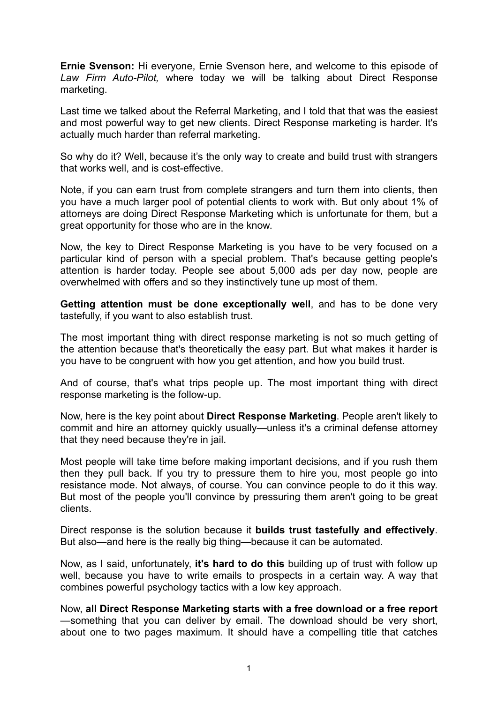**Ernie Svenson:** Hi everyone, Ernie Svenson here, and welcome to this episode of *Law Firm Auto-Pilot,* where today we will be talking about Direct Response marketing.

Last time we talked about the Referral Marketing, and I told that that was the easiest and most powerful way to get new clients. Direct Response marketing is harder. It's actually much harder than referral marketing.

So why do it? Well, because it's the only way to create and build trust with strangers that works well, and is cost-effective.

Note, if you can earn trust from complete strangers and turn them into clients, then you have a much larger pool of potential clients to work with. But only about 1% of attorneys are doing Direct Response Marketing which is unfortunate for them, but a great opportunity for those who are in the know.

Now, the key to Direct Response Marketing is you have to be very focused on a particular kind of person with a special problem. That's because getting people's attention is harder today. People see about 5,000 ads per day now, people are overwhelmed with offers and so they instinctively tune up most of them.

**Getting attention must be done exceptionally well**, and has to be done very tastefully, if you want to also establish trust.

The most important thing with direct response marketing is not so much getting of the attention because that's theoretically the easy part. But what makes it harder is you have to be congruent with how you get attention, and how you build trust.

And of course, that's what trips people up. The most important thing with direct response marketing is the follow-up.

Now, here is the key point about **Direct Response Marketing**. People aren't likely to commit and hire an attorney quickly usually—unless it's a criminal defense attorney that they need because they're in jail.

Most people will take time before making important decisions, and if you rush them then they pull back. If you try to pressure them to hire you, most people go into resistance mode. Not always, of course. You can convince people to do it this way. But most of the people you'll convince by pressuring them aren't going to be great clients.

Direct response is the solution because it **builds trust tastefully and effectively**. But also—and here is the really big thing—because it can be automated.

Now, as I said, unfortunately, **it's hard to do this** building up of trust with follow up well, because you have to write emails to prospects in a certain way. A way that combines powerful psychology tactics with a low key approach.

Now, **all Direct Response Marketing starts with a free download or a free report** —something that you can deliver by email. The download should be very short, about one to two pages maximum. It should have a compelling title that catches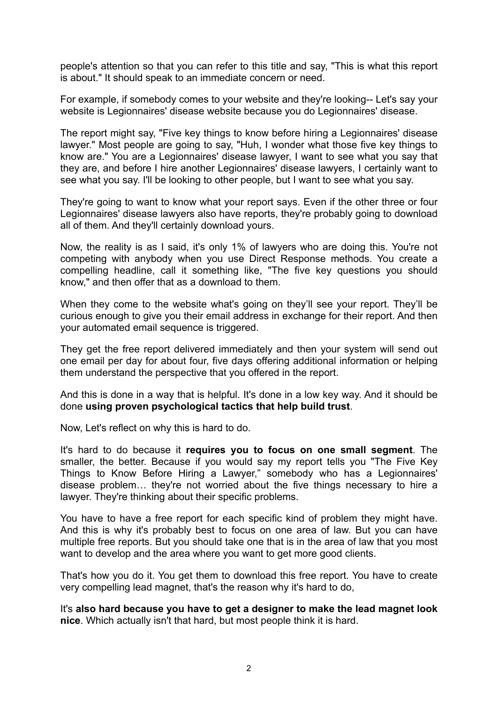people's attention so that you can refer to this title and say, "This is what this report is about." It should speak to an immediate concern or need.

For example, if somebody comes to your website and they're looking-- Let's say your website is Legionnaires' disease website because you do Legionnaires' disease.

The report might say, "Five key things to know before hiring a Legionnaires' disease lawyer." Most people are going to say, "Huh, I wonder what those five key things to know are." You are a Legionnaires' disease lawyer, I want to see what you say that they are, and before I hire another Legionnaires' disease lawyers, I certainly want to see what you say. I'll be looking to other people, but I want to see what you say.

They're going to want to know what your report says. Even if the other three or four Legionnaires' disease lawyers also have reports, they're probably going to download all of them. And they'll certainly download yours.

Now, the reality is as I said, it's only 1% of lawyers who are doing this. You're not competing with anybody when you use Direct Response methods. You create a compelling headline, call it something like, "The five key questions you should know," and then offer that as a download to them.

When they come to the website what's going on they'll see your report. They'll be curious enough to give you their email address in exchange for their report. And then your automated email sequence is triggered.

They get the free report delivered immediately and then your system will send out one email per day for about four, five days offering additional information or helping them understand the perspective that you offered in the report.

And this is done in a way that is helpful. It's done in a low key way. And it should be done **using proven psychological tactics that help build trust**.

Now, Let's reflect on why this is hard to do.

It's hard to do because it **requires you to focus on one small segment**. The smaller, the better. Because if you would say my report tells you "The Five Key Things to Know Before Hiring a Lawyer," somebody who has a Legionnaires' disease problem… they're not worried about the five things necessary to hire a lawyer. They're thinking about their specific problems.

You have to have a free report for each specific kind of problem they might have. And this is why it's probably best to focus on one area of law. But you can have multiple free reports. But you should take one that is in the area of law that you most want to develop and the area where you want to get more good clients.

That's how you do it. You get them to download this free report. You have to create very compelling lead magnet, that's the reason why it's hard to do,

It's **also hard because you have to get a designer to make the lead magnet look nice**. Which actually isn't that hard, but most people think it is hard.